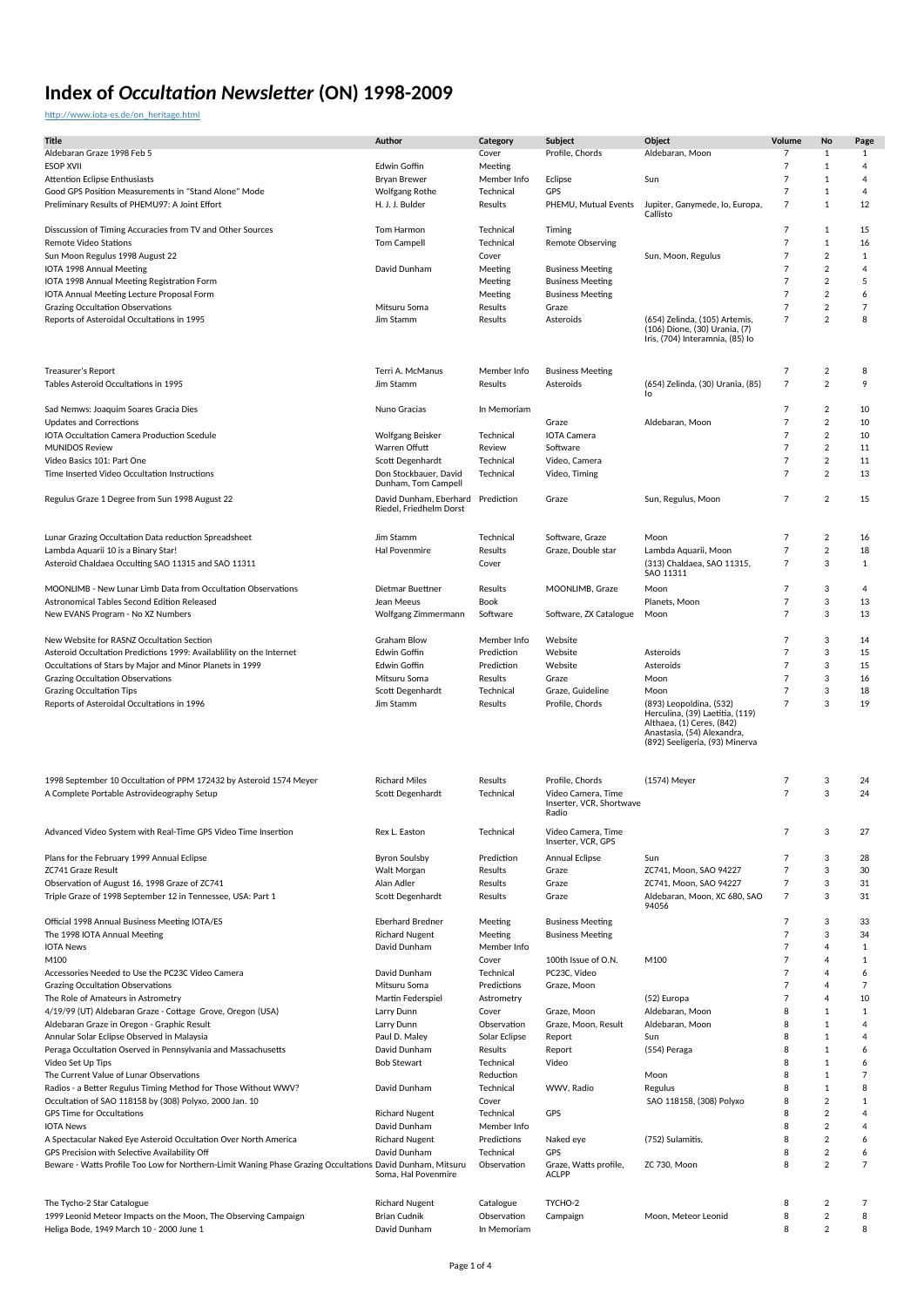#### [http://www.iota-es.de/on\\_heritage.html](http://www.iota-es.de/on_heritage.html)

| <b>Title</b>                                                                                               | Author                              | Category                   | Subject                                        | Object                                                           | Volume                           | No                               | Page           |
|------------------------------------------------------------------------------------------------------------|-------------------------------------|----------------------------|------------------------------------------------|------------------------------------------------------------------|----------------------------------|----------------------------------|----------------|
| Aldebaran Graze 1998 Feb 5                                                                                 |                                     | Cover                      | Profile, Chords                                | Aldebaran, Moon                                                  | 7                                | 1                                | $\mathbf{1}$   |
| <b>ESOP XVII</b>                                                                                           | <b>Edwin Goffin</b>                 | Meeting                    |                                                |                                                                  | $\overline{7}$                   | 1                                | $\overline{4}$ |
| <b>Attention Eclipse Enthusiasts</b>                                                                       | <b>Brvan Brewer</b>                 | Member Info                | Eclipse                                        | Sun                                                              | $\overline{7}$                   | $\mathbf{1}$                     | $\overline{4}$ |
| Good GPS Position Measurements in "Stand Alone" Mode                                                       | <b>Wolfgang Rothe</b>               | Technical                  | GPS                                            |                                                                  | $\overline{7}$                   | 1                                | $\overline{4}$ |
| Preliminary Results of PHEMU97: A Joint Effort                                                             | H. J. J. Bulder                     | Results                    | PHEMU, Mutual Events                           | Jupiter, Ganymede, Io, Europa,                                   | $\overline{7}$                   | $\mathbf{1}$                     | 12             |
|                                                                                                            |                                     |                            |                                                | Callisto                                                         |                                  |                                  |                |
| Disscussion of Timing Accuracies from TV and Other Sources                                                 | Tom Harmon                          | Technical                  | Timing                                         |                                                                  | $\overline{7}$                   | $\mathbf{1}$                     | 15             |
| <b>Remote Video Stations</b>                                                                               | <b>Tom Campell</b>                  | Technical                  | <b>Remote Observing</b>                        |                                                                  | $\overline{7}$                   | $1\,$                            | 16             |
| Sun Moon Regulus 1998 August 22                                                                            |                                     | Cover                      |                                                | Sun, Moon, Regulus                                               | $\overline{7}$                   | $\overline{2}$                   | $\mathbf{1}$   |
| IOTA 1998 Annual Meeting                                                                                   | David Dunham                        | Meeting                    | <b>Business Meeting</b>                        |                                                                  | $\overline{7}$                   | $\overline{2}$                   | $\overline{4}$ |
| IOTA 1998 Annual Meeting Registration Form                                                                 |                                     | Meeting                    | <b>Business Meeting</b>                        |                                                                  | $\overline{7}$                   | $\overline{2}$                   | 5              |
| IOTA Annual Meeting Lecture Proposal Form                                                                  |                                     | Meeting                    | <b>Business Meeting</b>                        |                                                                  | $\overline{7}$                   | $\overline{2}$                   | 6              |
| <b>Grazing Occultation Observations</b>                                                                    | Mitsuru Soma                        | Results                    | Graze                                          |                                                                  | $\overline{7}$                   | $\overline{2}$                   | $\overline{7}$ |
| Reports of Asteroidal Occultations in 1995                                                                 | Jim Stamm                           | Results                    | Asteroids                                      | (654) Zelinda, (105) Artemis,                                    | $\overline{7}$                   | $\overline{2}$                   | 8              |
|                                                                                                            |                                     |                            |                                                | (106) Dione, (30) Urania, (7)<br>Iris, (704) Interamnia, (85) Io |                                  |                                  |                |
|                                                                                                            |                                     |                            |                                                |                                                                  |                                  |                                  |                |
|                                                                                                            |                                     |                            |                                                |                                                                  |                                  |                                  |                |
| Treasurer's Report                                                                                         | Terri A. McManus                    | Member Info                | <b>Business Meeting</b>                        |                                                                  | $\overline{7}$                   | $\sqrt{2}$                       | 8              |
| Tables Asteroid Occultations in 1995                                                                       | Jim Stamm                           | Results                    | Asteroids                                      | (654) Zelinda, (30) Urania, (85)<br>١o                           | $\overline{7}$                   | $\overline{2}$                   | 9              |
|                                                                                                            |                                     |                            |                                                |                                                                  |                                  |                                  |                |
| Sad Nemws: Joaquim Soares Gracia Dies                                                                      | Nuno Gracias                        | In Memoriam                |                                                |                                                                  | 7                                | 2                                | 10             |
| <b>Updates and Corrections</b>                                                                             |                                     |                            | Graze                                          | Aldebaran, Moon                                                  | $\overline{7}$                   | $\overline{2}$                   | 10             |
| <b>IOTA Occultation Camera Production Scedule</b><br><b>MUNIDOS Review</b>                                 | Wolfgang Beisker<br>Warren Offutt   | Technical                  | <b>IOTA Camera</b><br>Software                 |                                                                  | $\overline{7}$<br>$\overline{7}$ | $\overline{2}$<br>$\overline{2}$ | 10<br>11       |
| Video Basics 101: Part One                                                                                 | Scott Degenhardt                    | Review<br>Technical        | Video, Camera                                  |                                                                  | $\overline{7}$                   | $\overline{2}$                   | 11             |
| Time Inserted Video Occultation Instructions                                                               | Don Stockbauer, David               | Technical                  | Video, Timing                                  |                                                                  | $\overline{7}$                   | $\overline{2}$                   | 13             |
|                                                                                                            | Dunham, Tom Campell                 |                            |                                                |                                                                  |                                  |                                  |                |
| Regulus Graze 1 Degree from Sun 1998 August 22                                                             | David Dunham, Eberhard              | Prediction                 | Graze                                          | Sun, Regulus, Moon                                               | $\overline{7}$                   | $\overline{2}$                   | 15             |
|                                                                                                            | Riedel, Friedhelm Dorst             |                            |                                                |                                                                  |                                  |                                  |                |
|                                                                                                            |                                     |                            |                                                |                                                                  |                                  |                                  |                |
| Lunar Grazing Occultation Data reduction Spreadsheet                                                       | Jim Stamm                           | Technical                  | Software, Graze                                | Moon                                                             | $\overline{7}$                   | $\overline{2}$                   | 16             |
| Lambda Aquarii 10 is a Binary Star!                                                                        | Hal Povenmire                       | Results                    | Graze, Double star                             | Lambda Aquarii, Moon                                             | $\overline{7}$                   | $\sqrt{2}$                       | 18             |
| Asteroid Chaldaea Occulting SAO 11315 and SAO 11311                                                        |                                     | Cover                      |                                                | (313) Chaldaea, SAO 11315,                                       | $\overline{7}$                   | 3                                | $\mathbf{1}$   |
|                                                                                                            |                                     |                            |                                                | SAO 11311                                                        |                                  |                                  |                |
| MOONLIMB - New Lunar Limb Data from Occultation Observations                                               | Dietmar Buettner                    | Results                    | MOONLIMB, Graze                                | Moon                                                             | $\overline{7}$                   | 3                                | $\overline{4}$ |
| Astronomical Tables Second Edition Released                                                                | Jean Meeus                          | Book                       |                                                | Planets, Moon                                                    | $\overline{7}$                   | 3                                | 13             |
| New EVANS Program - No XZ Numbers                                                                          | Wolfgang Zimmermann                 | Software                   | Software, ZX Catalogue                         | Moon                                                             | $\overline{7}$                   | 3                                | 13             |
|                                                                                                            |                                     |                            |                                                |                                                                  |                                  |                                  |                |
| New Website for RASNZ Occultation Section                                                                  | <b>Graham Blow</b>                  | Member Info                | Website                                        |                                                                  | $\overline{7}$                   | 3                                | 14             |
| Asteroid Occultation Predictions 1999: Availablility on the Internet                                       | <b>Edwin Goffin</b>                 | Prediction                 | Website                                        | Asteroids                                                        | $\overline{7}$                   | 3                                | 15             |
| Occultations of Stars by Major and Minor Planets in 1999                                                   | Edwin Goffin                        | Prediction                 | Website                                        | Asteroids                                                        | $\overline{7}$                   | 3                                | 15             |
| Grazing Occultation Observations                                                                           | Mitsuru Soma                        | Results                    | Graze                                          | Moon                                                             | $\overline{7}$                   | 3                                | 16             |
| <b>Grazing Occultation Tips</b>                                                                            | Scott Degenhardt                    | Technical                  | Graze, Guideline                               | Moon                                                             | 7                                | 3                                | 18             |
| Reports of Asteroidal Occultations in 1996                                                                 | Jim Stamm                           | Results                    | Profile, Chords                                | (893) Leopoldina, (532)                                          | $\overline{7}$                   | 3                                | 19             |
|                                                                                                            |                                     |                            |                                                | Herculina, (39) Laetitia, (119)<br>Althaea, (1) Ceres, (842)     |                                  |                                  |                |
|                                                                                                            |                                     |                            |                                                | Anastasia, (54) Alexandra,                                       |                                  |                                  |                |
|                                                                                                            |                                     |                            |                                                | (892) Seeligeria, (93) Minerva                                   |                                  |                                  |                |
|                                                                                                            |                                     |                            |                                                |                                                                  |                                  |                                  |                |
|                                                                                                            |                                     |                            |                                                |                                                                  |                                  |                                  |                |
| 1998 September 10 Occultation of PPM 172432 by Asteroid 1574 Meyer                                         | <b>Richard Miles</b>                | Results                    | Profile, Chords                                | (1574) Meyer                                                     | 7                                | 3                                | 24             |
| A Complete Portable Astrovideography Setup                                                                 | Scott Degenhardt                    | Technical                  | Video Camera, Time<br>Inserter, VCR, Shortwave |                                                                  | $\overline{7}$                   | 3                                | 24             |
|                                                                                                            |                                     |                            | Radio                                          |                                                                  |                                  |                                  |                |
|                                                                                                            |                                     |                            |                                                |                                                                  |                                  |                                  |                |
| Advanced Video System with Real-Time GPS Video Time Insertion                                              | Rex L. Easton                       | Technical                  | Video Camera, Time<br>Inserter, VCR, GPS       |                                                                  | $\overline{7}$                   | 3                                | 27             |
| Plans for the February 1999 Annual Eclipse                                                                 | <b>Byron Soulsby</b>                | Prediction                 | Annual Eclipse                                 | Sun                                                              | $\overline{7}$                   | 3                                | 28             |
| <b>ZC741 Graze Result</b>                                                                                  | Walt Morgan                         | Results                    | Graze                                          | ZC741, Moon, SAO 94227                                           | $\overline{7}$                   | 3                                | 30             |
| Observation of August 16, 1998 Graze of ZC741                                                              | Alan Adler                          | Results                    | Graze                                          | ZC741, Moon, SAO 94227                                           | $\overline{7}$                   | 3                                | 31             |
| Triple Graze of 1998 September 12 in Tennessee, USA: Part 1                                                | Scott Degenhardt                    | Results                    | Graze                                          | Aldebaran, Moon, XC 680, SAO                                     | $\overline{7}$                   | 3                                | 31             |
|                                                                                                            |                                     |                            |                                                | 94056                                                            |                                  |                                  |                |
| Official 1998 Annual Business Meeting IOTA/ES                                                              | <b>Eberhard Bredner</b>             | Meeting                    | <b>Business Meeting</b>                        |                                                                  | $\overline{7}$                   | 3                                | 33             |
| The 1998 IOTA Annual Meeting                                                                               | <b>Richard Nugent</b>               | Meeting                    | <b>Business Meeting</b>                        |                                                                  | $\overline{7}$                   | 3                                | 34             |
| <b>IOTA News</b>                                                                                           | David Dunham                        | Member Info                |                                                |                                                                  | $\overline{7}$                   | $\overline{4}$                   | 1              |
| M100                                                                                                       |                                     | Cover                      | 100th Issue of O.N.                            | M100                                                             | $\overline{7}$                   | $\overline{4}$                   | $\mathbf{1}$   |
| Accessories Needed to Use the PC23C Video Camera                                                           | David Dunham                        | Technical                  | PC23C, Video                                   |                                                                  | $\overline{7}$                   | $\overline{4}$                   | 6              |
| Grazing Occultation Observations                                                                           | Mitsuru Soma                        | Predictions                | Graze, Moon                                    |                                                                  | $\overline{7}$                   | 4                                | $\overline{7}$ |
| The Role of Amateurs in Astrometry                                                                         | Martin Federspiel                   | Astrometry                 |                                                | (52) Europa                                                      | $\overline{7}$                   | $\overline{4}$                   | 10             |
| 4/19/99 (UT) Aldebaran Graze - Cottage Grove, Oregon (USA)                                                 | Larry Dunn                          | Cover                      | Graze, Moon                                    | Aldebaran, Moon                                                  | 8                                | $\mathbf{1}$                     | 1              |
| Aldebaran Graze in Oregon - Graphic Result                                                                 | Larry Dunn                          | Observation                | Graze, Moon, Result                            | Aldebaran, Moon                                                  | 8                                | $\mathbf{1}$                     | $\overline{4}$ |
| Annular Solar Eclipse Observed in Malaysia                                                                 | Paul D. Maley                       | Solar Eclipse              | Report                                         | Sun                                                              | 8                                | $\mathbf{1}$                     | $\overline{4}$ |
| Peraga Occultation Oserved in Pennsylvania and Massachusetts                                               | David Dunham                        | Results                    | Report                                         | (554) Peraga                                                     | 8                                | $\mathbf{1}$                     | 6              |
| Video Set Up Tips                                                                                          | <b>Bob Stewart</b>                  | Technical                  | Video                                          |                                                                  | 8                                | $\mathbf{1}$                     | 6              |
| The Current Value of Lunar Observations                                                                    |                                     | Reduction                  |                                                | Moon                                                             | 8                                | $\mathbf{1}$                     | $\overline{7}$ |
| Radios - a Better Regulus Timing Method for Those Without WWV?                                             | David Dunham                        | Technical                  | WWV, Radio                                     | Regulus                                                          | 8                                | $\mathbf{1}$                     | 8              |
| Occultation of SAO 118158 by (308) Polyxo, 2000 Jan. 10                                                    |                                     | Cover                      |                                                | SAO 118158, (308) Polyxo                                         | 8                                | $\overline{2}$                   | 1              |
| GPS Time for Occultations                                                                                  | <b>Richard Nugent</b>               | Technical                  | GPS                                            |                                                                  | 8                                | $\overline{2}$                   | $\overline{4}$ |
| <b>IOTA News</b>                                                                                           | David Dunham                        | Member Info                |                                                |                                                                  | 8                                | $\overline{2}$                   | $\overline{4}$ |
| A Spectacular Naked Eye Asteroid Occultation Over North America                                            | <b>Richard Nugent</b>               | Predictions                | Naked eye                                      | (752) Sulamitis,                                                 | 8                                | $\overline{2}$                   | 6              |
| GPS Precision with Selective Availability Off                                                              | David Dunham                        | Technical                  | GPS                                            |                                                                  | 8                                | $\overline{2}$                   | 6              |
| Beware - Watts Profile Too Low for Northern-Limit Waning Phase Grazing Occultations David Dunham, Mitsuru  | Soma, Hal Povenmire                 | Observation                | Graze, Watts profile,<br><b>ACLPP</b>          | ZC 730, Moon                                                     | 8                                | $\overline{2}$                   | $\overline{7}$ |
|                                                                                                            |                                     |                            |                                                |                                                                  |                                  |                                  |                |
|                                                                                                            |                                     |                            |                                                |                                                                  |                                  |                                  |                |
| The Tycho-2 Star Catalogue                                                                                 | <b>Richard Nugent</b>               | Catalogue                  | TYCHO-2                                        |                                                                  | 8                                | 2                                | 7              |
| 1999 Leonid Meteor Impacts on the Moon, The Observing Campaign<br>Heliga Bode, 1949 March 10 - 2000 June 1 | <b>Brian Cudnik</b><br>David Dunham | Observation<br>In Memoriam | Campaign                                       | Moon, Meteor Leonid                                              | 8<br>8                           | $\overline{2}$<br>$\overline{2}$ | 8<br>8         |
|                                                                                                            |                                     |                            |                                                |                                                                  |                                  |                                  |                |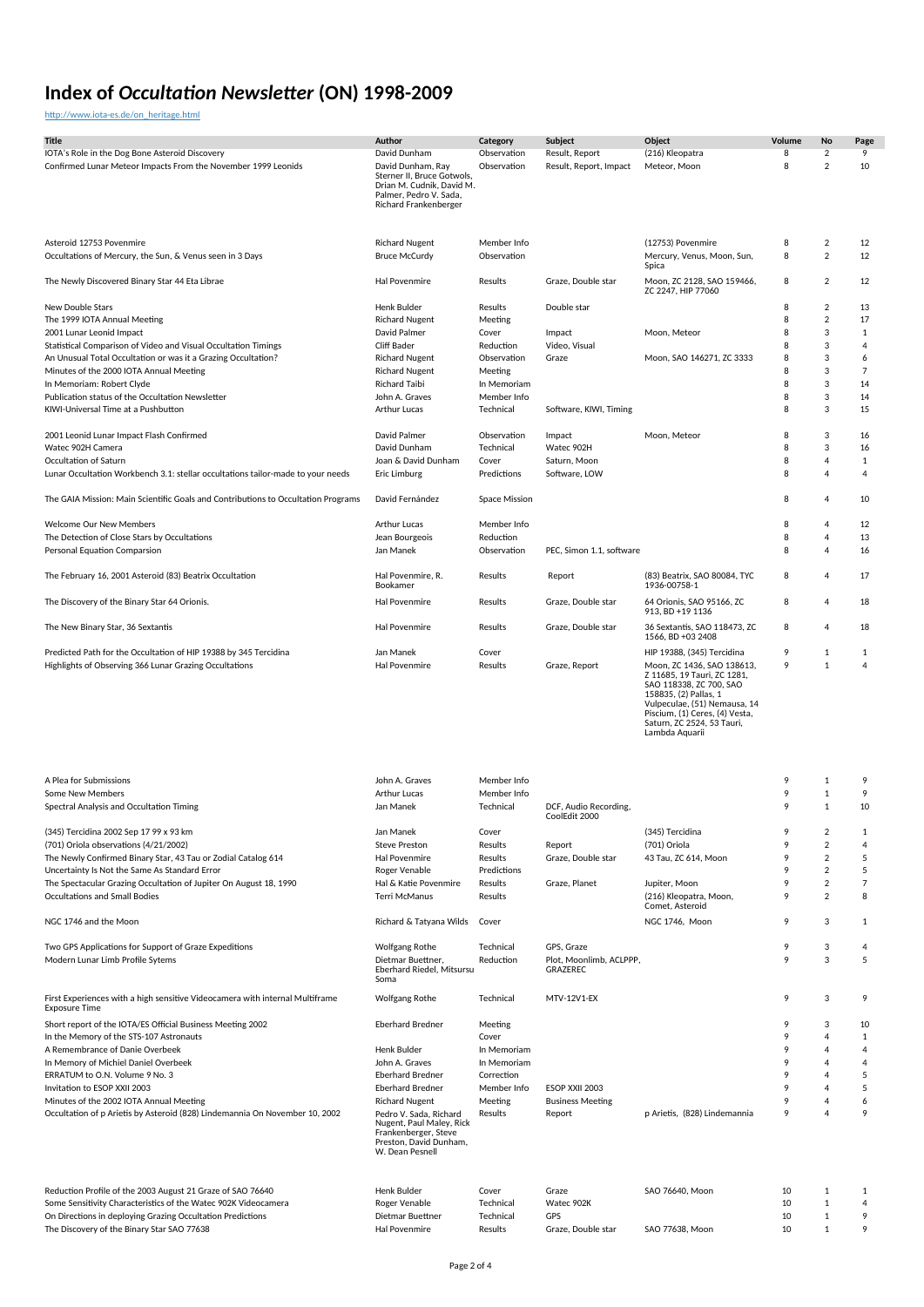[http://www.iota-es.de/on\\_heritage.html](http://www.iota-es.de/on_heritage.html)

| Title<br>IOTA's Role in the Dog Bone Asteroid Discovery                                                                    | Author<br>David Dunham                                                                                                          | Category<br>Observation                 | Subject<br>Result, Report                         | Object<br>(216) Kleopatra                                                                                                                                                                                                                                     | Volume<br>8 | No<br>$\overline{2}$                         | Page<br>9                      |
|----------------------------------------------------------------------------------------------------------------------------|---------------------------------------------------------------------------------------------------------------------------------|-----------------------------------------|---------------------------------------------------|---------------------------------------------------------------------------------------------------------------------------------------------------------------------------------------------------------------------------------------------------------------|-------------|----------------------------------------------|--------------------------------|
| Confirmed Lunar Meteor Impacts From the November 1999 Leonids                                                              | David Dunham, Ray<br>Sterner II, Bruce Gotwols,<br>Drian M. Cudnik, David M.<br>Palmer, Pedro V. Sada,<br>Richard Frankenberger | Observation                             | Result, Report, Impact                            | Meteor, Moon                                                                                                                                                                                                                                                  | 8           | $\overline{2}$                               | 10                             |
| Asteroid 12753 Povenmire<br>Occultations of Mercury, the Sun, & Venus seen in 3 Days                                       | <b>Richard Nugent</b><br><b>Bruce McCurdy</b>                                                                                   | Member Info<br>Observation              |                                                   | (12753) Povenmire<br>Mercury, Venus, Moon, Sun,<br>Spica                                                                                                                                                                                                      | 8<br>8      | $\boldsymbol{2}$<br>$\overline{2}$           | 12<br>12                       |
| The Newly Discovered Binary Star 44 Eta Librae                                                                             | Hal Povenmire                                                                                                                   | Results                                 | Graze, Double star                                | Moon, ZC 2128, SAO 159466,<br>ZC 2247, HIP 77060                                                                                                                                                                                                              | 8           | $\overline{2}$                               | 12                             |
| <b>New Double Stars</b>                                                                                                    | Henk Bulder                                                                                                                     | Results                                 | Double star                                       |                                                                                                                                                                                                                                                               | 8           | $\overline{2}$                               | 13                             |
| The 1999 IOTA Annual Meeting                                                                                               | <b>Richard Nugent</b>                                                                                                           | Meeting                                 |                                                   |                                                                                                                                                                                                                                                               | 8           | $\overline{2}$                               | 17                             |
| 2001 Lunar Leonid Impact<br>Statistical Comparison of Video and Visual Occultation Timings                                 | David Palmer<br><b>Cliff Bader</b>                                                                                              | Cover                                   | Impact                                            | Moon, Meteor                                                                                                                                                                                                                                                  | 8<br>8      | 3<br>3                                       | $\mathbf{1}$<br>$\overline{4}$ |
| An Unusual Total Occultation or was it a Grazing Occultation?                                                              | <b>Richard Nugent</b>                                                                                                           | Reduction<br>Observation                | Video, Visual<br>Graze                            | Moon, SAO 146271, ZC 3333                                                                                                                                                                                                                                     | 8           | 3                                            | 6                              |
| Minutes of the 2000 IOTA Annual Meeting                                                                                    | <b>Richard Nugent</b>                                                                                                           | Meeting                                 |                                                   |                                                                                                                                                                                                                                                               | 8           | 3                                            | $\overline{7}$                 |
| In Memoriam: Robert Clyde                                                                                                  | Richard Taibi                                                                                                                   | In Memoriam                             |                                                   |                                                                                                                                                                                                                                                               | 8           | 3                                            | 14                             |
| Publication status of the Occultation Newsletter                                                                           | John A. Graves                                                                                                                  | Member Info                             |                                                   |                                                                                                                                                                                                                                                               | 8           | 3                                            | 14                             |
| KIWI-Universal Time at a Pushbutton                                                                                        | Arthur Lucas                                                                                                                    | Technical                               | Software, KIWI, Timing                            |                                                                                                                                                                                                                                                               | 8           | 3                                            | 15                             |
| 2001 Leonid Lunar Impact Flash Confirmed                                                                                   | David Palmer                                                                                                                    | Observation                             | Impact                                            | Moon, Meteor                                                                                                                                                                                                                                                  | 8           | 3                                            | 16                             |
| Watec 902H Camera                                                                                                          | David Dunham                                                                                                                    | Technical                               | Watec 902H                                        |                                                                                                                                                                                                                                                               | 8           | 3                                            | 16                             |
| Occultation of Saturn                                                                                                      | Joan & David Dunham                                                                                                             | Cover                                   | Saturn, Moon                                      |                                                                                                                                                                                                                                                               | 8           | 4                                            | $\mathbf{1}$                   |
| Lunar Occultation Workbench 3.1: stellar occultations tailor-made to your needs                                            | Eric Limburg                                                                                                                    | Predictions                             | Software, LOW                                     |                                                                                                                                                                                                                                                               | 8           | $\overline{4}$                               | $\overline{4}$                 |
| The GAIA Mission: Main Scientific Goals and Contributions to Occultation Programs                                          | David Fernández                                                                                                                 | Space Mission                           |                                                   |                                                                                                                                                                                                                                                               | 8           | 4                                            | 10                             |
| Welcome Our New Members                                                                                                    | Arthur Lucas                                                                                                                    | Member Info                             |                                                   |                                                                                                                                                                                                                                                               | 8           | 4                                            | 12                             |
| The Detection of Close Stars by Occultations                                                                               | Jean Bourgeois                                                                                                                  | Reduction                               |                                                   |                                                                                                                                                                                                                                                               | 8           | 4                                            | 13                             |
| Personal Equation Comparsion                                                                                               | Jan Manek                                                                                                                       | Observation                             | PEC, Simon 1.1, software                          |                                                                                                                                                                                                                                                               | 8           | $\overline{4}$                               | 16                             |
| The February 16, 2001 Asteroid (83) Beatrix Occultation                                                                    | Hal Povenmire, R.<br>Bookamer                                                                                                   | Results                                 | Report                                            | (83) Beatrix, SAO 80084, TYC<br>1936-00758-1                                                                                                                                                                                                                  | 8           | $\overline{4}$                               | 17                             |
| The Discovery of the Binary Star 64 Orionis.                                                                               | <b>Hal Povenmire</b>                                                                                                            | Results                                 | Graze, Double star                                | 64 Orionis, SAO 95166, ZC<br>913, BD +19 1136                                                                                                                                                                                                                 | 8           | 4                                            | 18                             |
| The New Binary Star, 36 Sextantis                                                                                          | Hal Povenmire                                                                                                                   | Results                                 | Graze, Double star                                | 36 Sextantis, SAO 118473, ZC<br>1566, BD +03 2408                                                                                                                                                                                                             | 8           | 4                                            | 18                             |
| Predicted Path for the Occultation of HIP 19388 by 345 Tercidina<br>Highlights of Observing 366 Lunar Grazing Occultations | Jan Manek<br>Hal Povenmire                                                                                                      | Cover<br>Results                        | Graze, Report                                     | HIP 19388, (345) Tercidina<br>Moon, ZC 1436, SAO 138613,<br>Z 11685, 19 Tauri, ZC 1281,<br>SAO 118338, ZC 700, SAO<br>158835, (2) Pallas, 1<br>Vulpeculae, (51) Nemausa, 14<br>Piscium, (1) Ceres, (4) Vesta,<br>Saturn, ZC 2524, 53 Tauri,<br>Lambda Aquarii | 9<br>9      | $\mathbf{1}$<br>$1\,$                        | $\mathbf{1}$<br>$\overline{4}$ |
| A Plea for Submissions<br>Some New Members<br>Spectral Analysis and Occultation Timing                                     | John A. Graves<br><b>Arthur Lucas</b><br>Jan Manek                                                                              | Member Info<br>Member Info<br>Technical | DCF, Audio Recording,<br>CoolEdit 2000            |                                                                                                                                                                                                                                                               | 9<br>9<br>9 | $\mathbf{1}$<br>$\mathbf{1}$<br>$\mathbf{1}$ | 9<br>9<br>10                   |
| (345) Tercidina 2002 Sep 17 99 x 93 km                                                                                     | Jan Manek                                                                                                                       | Cover                                   |                                                   | (345) Tercidina                                                                                                                                                                                                                                               | 9           | $\overline{2}$                               | 1                              |
| (701) Oriola observations (4/21/2002)                                                                                      | <b>Steve Preston</b>                                                                                                            | Results                                 | Report                                            | (701) Oriola                                                                                                                                                                                                                                                  | 9           | $\overline{2}$                               | $\overline{4}$                 |
| The Newly Confirmed Binary Star, 43 Tau or Zodial Catalog 614                                                              | Hal Povenmire                                                                                                                   | Results                                 | Graze, Double star                                | 43 Tau, ZC 614, Moon                                                                                                                                                                                                                                          | 9           | $\overline{2}$                               | 5                              |
| Uncertainty Is Not the Same As Standard Error<br>The Spectacular Grazing Occultation of Jupiter On August 18, 1990         | Roger Venable<br>Hal & Katie Povenmire                                                                                          | Predictions<br>Results                  | Graze, Planet                                     | Jupiter, Moon                                                                                                                                                                                                                                                 | 9<br>9      | $\overline{2}$<br>$\overline{2}$             | 5<br>$\overline{7}$            |
| <b>Occultations and Small Bodies</b>                                                                                       | Terri McManus                                                                                                                   | Results                                 |                                                   | (216) Kleopatra, Moon.<br>Comet, Asteroid                                                                                                                                                                                                                     | 9           | $\overline{2}$                               | 8                              |
| NGC 1746 and the Moon                                                                                                      | Richard & Tatyana Wilds                                                                                                         | Cover                                   |                                                   | NGC 1746, Moon                                                                                                                                                                                                                                                | 9           | 3                                            | 1                              |
| Two GPS Applications for Support of Graze Expeditions<br>Modern Lunar Limb Profile Sytems                                  | <b>Wolfgang Rothe</b><br>Dietmar Buettner,<br>Eberhard Riedel, Mitsursu<br>Soma                                                 | Technical<br>Reduction                  | GPS, Graze<br>Plot, Moonlimb, ACLPPP,<br>GRAZEREC |                                                                                                                                                                                                                                                               | 9<br>9      | 3<br>3                                       | 4<br>5                         |
| First Experiences with a high sensitive Videocamera with internal Multiframe<br><b>Exposure Time</b>                       | <b>Wolfgang Rothe</b>                                                                                                           | Technical                               | <b>MTV-12V1-EX</b>                                |                                                                                                                                                                                                                                                               | 9           | 3                                            | 9                              |
| Short report of the IOTA/ES Official Business Meeting 2002<br>In the Memory of the STS-107 Astronauts                      | <b>Eberhard Bredner</b>                                                                                                         | Meeting<br>Cover                        |                                                   |                                                                                                                                                                                                                                                               | 9<br>9      | 3<br>$\overline{4}$                          | 10<br>$\mathbf{1}$             |
| A Remembrance of Danie Overbeek                                                                                            | Henk Bulder                                                                                                                     | In Memoriam                             |                                                   |                                                                                                                                                                                                                                                               | 9           | 4                                            | $\overline{4}$                 |
| In Memory of Michiel Daniel Overbeek                                                                                       | John A. Graves                                                                                                                  | In Memoriam                             |                                                   |                                                                                                                                                                                                                                                               | 9           | 4                                            | $\overline{4}$                 |
| ERRATUM to O.N. Volume 9 No. 3                                                                                             | <b>Eberhard Bredner</b>                                                                                                         | Correction                              |                                                   |                                                                                                                                                                                                                                                               | 9           | 4                                            | 5                              |
| Invitation to ESOP XXII 2003<br>Minutes of the 2002 IOTA Annual Meeting                                                    | <b>Eberhard Bredner</b><br><b>Richard Nugent</b>                                                                                | Member Info<br>Meeting                  | ESOP XXII 2003<br><b>Business Meeting</b>         |                                                                                                                                                                                                                                                               | 9<br>9      | 4<br>4                                       | 5<br>6                         |
| Occultation of p Arietis by Asteroid (828) Lindemannia On November 10, 2002                                                | Pedro V. Sada, Richard<br>Nugent, Paul Maley, Rick<br>Frankenberger, Steve<br>Preston, David Dunham,<br>W. Dean Pesnell         | Results                                 | Report                                            | p Arietis, (828) Lindemannia                                                                                                                                                                                                                                  | 9           | $\overline{4}$                               | 9                              |
| Reduction Profile of the 2003 August 21 Graze of SAO 76640                                                                 | Henk Bulder                                                                                                                     | Cover                                   | Graze                                             | SAO 76640, Moon                                                                                                                                                                                                                                               | 10          | $\mathbf{1}$                                 | 1                              |
| Some Sensitivity Characteristics of the Watec 902K Videocamera                                                             | Roger Venable                                                                                                                   | Technical                               | Watec 902K                                        |                                                                                                                                                                                                                                                               | 10          | $1\,$                                        | $\overline{4}$                 |
| On Directions in deploying Grazing Occultation Predictions                                                                 | Dietmar Buettner                                                                                                                | Technical                               | GPS                                               |                                                                                                                                                                                                                                                               | 10          | $\,1\,$                                      | 9                              |
| The Discovery of the Binary Star SAO 77638                                                                                 | Hal Povenmire                                                                                                                   | Results                                 | Graze, Double star                                | SAO 77638, Moon                                                                                                                                                                                                                                               | 10          | $1\,$                                        | 9                              |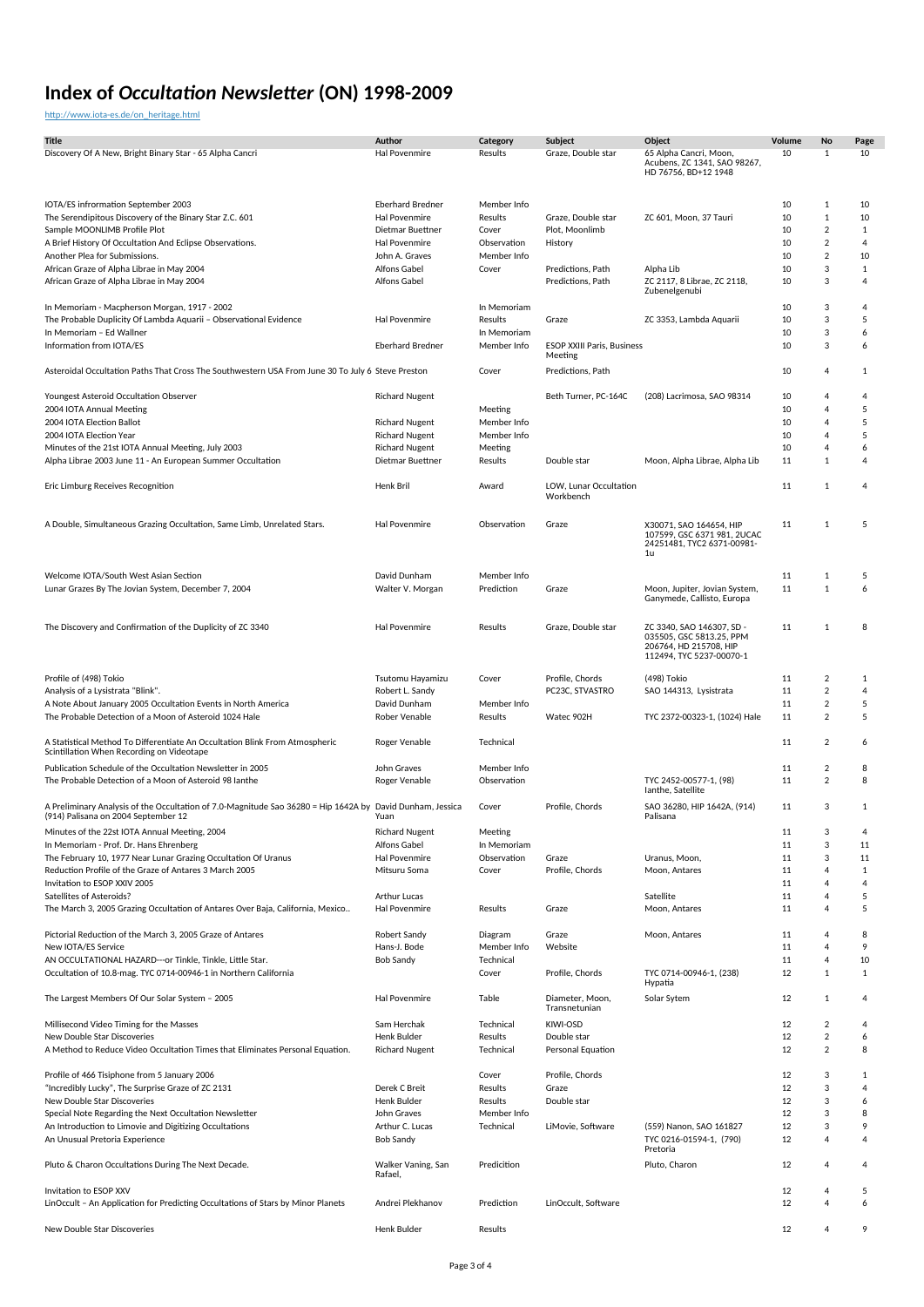[http://www.iota-es.de/on\\_heritage.html](http://www.iota-es.de/on_heritage.html)

| <b>Title</b>                                                                                                                                     | Author                            | Category                   | Subject                             | Object                                                                                                      | Volume   | No                  | Page               |
|--------------------------------------------------------------------------------------------------------------------------------------------------|-----------------------------------|----------------------------|-------------------------------------|-------------------------------------------------------------------------------------------------------------|----------|---------------------|--------------------|
| Discovery Of A New, Bright Binary Star - 65 Alpha Cancri                                                                                         | Hal Povenmire                     | Results                    | Graze, Double star                  | 65 Alpha Cancri, Moon,<br>Acubens, ZC 1341, SAO 98267,<br>HD 76756, BD+12 1948                              | 10       | $\mathbf{1}$        | 10                 |
|                                                                                                                                                  |                                   |                            |                                     |                                                                                                             |          |                     |                    |
| IOTA/ES infrormation September 2003                                                                                                              | <b>Eberhard Bredner</b>           | Member Info                |                                     |                                                                                                             | 10       | 1                   | 10                 |
| The Serendipitous Discovery of the Binary Star Z.C. 601                                                                                          | Hal Povenmire                     | Results                    | Graze, Double star                  | ZC 601, Moon, 37 Tauri                                                                                      | 10       | $\mathbf{1}$        | 10                 |
| Sample MOONLIMB Profile Plot<br>A Brief History Of Occultation And Eclipse Observations.                                                         | Dietmar Buettner<br>Hal Povenmire | Cover<br>Observation       | Plot, Moonlimb<br>History           |                                                                                                             | 10<br>10 | $\overline{2}$<br>2 | $\mathbf{1}$<br>4  |
| Another Plea for Submissions.                                                                                                                    | John A. Graves                    | Member Info                |                                     |                                                                                                             | 10       | $\overline{2}$      | 10                 |
| African Graze of Alpha Librae in May 2004                                                                                                        | <b>Alfons Gabel</b>               | Cover                      | Predictions, Path                   | Alpha Lib                                                                                                   | 10       | 3                   | $\mathbf{1}$       |
| African Graze of Alpha Librae in May 2004                                                                                                        | <b>Alfons Gabel</b>               |                            | Predictions, Path                   | ZC 2117, 8 Librae, ZC 2118,<br>Zubenelgenubi                                                                | 10       | 3                   | 4                  |
| In Memoriam - Macpherson Morgan, 1917 - 2002                                                                                                     |                                   | In Memoriam                |                                     |                                                                                                             | 10       | 3                   | 4                  |
| The Probable Duplicity Of Lambda Aquarii - Observational Evidence                                                                                | Hal Povenmire                     | Results                    | Graze                               | ZC 3353, Lambda Aquarii                                                                                     | 10       | 3                   | 5                  |
| In Memoriam - Ed Wallner<br>Information from IOTA/ES                                                                                             | <b>Eberhard Bredner</b>           | In Memoriam<br>Member Info | <b>ESOP XXIII Paris, Business</b>   |                                                                                                             | 10<br>10 | 3<br>3              | 6<br>6             |
| Asteroidal Occultation Paths That Cross The Southwestern USA From June 30 To July 6 Steve Preston                                                |                                   | Cover                      | Meeting<br>Predictions, Path        |                                                                                                             | 10       | 4                   | $\mathbf{1}$       |
|                                                                                                                                                  |                                   |                            |                                     |                                                                                                             |          |                     |                    |
| Youngest Asteroid Occultation Observer<br>2004 IOTA Annual Meeting                                                                               | <b>Richard Nugent</b>             | Meeting                    | Beth Turner, PC-164C                | (208) Lacrimosa, SAO 98314                                                                                  | 10<br>10 | 4<br>4              | 4<br>5             |
| 2004 IOTA Election Ballot                                                                                                                        | <b>Richard Nugent</b>             | Member Info                |                                     |                                                                                                             | 10       | 4                   | 5                  |
| 2004 IOTA Election Year                                                                                                                          | <b>Richard Nugent</b>             | Member Info                |                                     |                                                                                                             | 10       | 4                   | 5                  |
| Minutes of the 21st IOTA Annual Meeting, July 2003                                                                                               | <b>Richard Nugent</b>             | Meeting                    |                                     |                                                                                                             | 10       | 4                   | 6                  |
| Alpha Librae 2003 June 11 - An European Summer Occultation                                                                                       | Dietmar Buettner                  | Results                    | Double star                         | Moon, Alpha Librae, Alpha Lib                                                                               | 11       | $\mathbf{1}$        | 4                  |
| Eric Limburg Receives Recognition                                                                                                                | Henk Bril                         | Award                      | LOW, Lunar Occultation<br>Workbench |                                                                                                             | 11       | $\mathbf{1}$        | 4                  |
|                                                                                                                                                  |                                   |                            |                                     |                                                                                                             |          |                     |                    |
| A Double, Simultaneous Grazing Occultation, Same Limb, Unrelated Stars.                                                                          | <b>Hal Povenmire</b>              | Observation                | Graze                               | X30071, SAO 164654, HIP<br>107599, GSC 6371 981, 2UCAC<br>24251481, TYC2 6371-00981-<br>1u                  | 11       | 1                   | 5                  |
| Welcome IOTA/South West Asian Section                                                                                                            | David Dunham                      | Member Info                |                                     |                                                                                                             | 11       | 1                   | 5                  |
| Lunar Grazes By The Jovian System, December 7, 2004                                                                                              | Walter V. Morgan                  | Prediction                 | Graze                               | Moon, Jupiter, Jovian System,<br>Ganymede, Callisto, Europa                                                 | 11       | $1\,$               | 6                  |
| The Discovery and Confirmation of the Duplicity of ZC 3340                                                                                       | Hal Povenmire                     | Results                    | Graze, Double star                  | ZC 3340, SAO 146307, SD -<br>035505, GSC 5813.25, PPM<br>206764, HD 215708, HIP<br>112494, TYC 5237-00070-1 | 11       | $1\,$               | 8                  |
| Profile of (498) Tokio                                                                                                                           | Tsutomu Hayamizu                  | Cover                      | Profile, Chords                     | (498) Tokio                                                                                                 | 11       | 2                   | $\mathbf{1}$       |
| Analysis of a Lysistrata "Blink".                                                                                                                | Robert L. Sandy                   |                            | PC23C, STVASTRO                     | SAO 144313, Lysistrata                                                                                      | 11       | $\overline{2}$      | 4                  |
| A Note About January 2005 Occultation Events in North America                                                                                    | David Dunham                      | Member Info                |                                     |                                                                                                             | 11       | 2                   | 5                  |
| The Probable Detection of a Moon of Asteroid 1024 Hale                                                                                           | Rober Venable                     | Results                    | Watec 902H                          | TYC 2372-00323-1, (1024) Hale                                                                               | 11       | $\overline{2}$      | 5                  |
| A Statistical Method To Differentiate An Occultation Blink From Atmospheric<br>Scintillation When Recording on Videotape                         | Roger Venable                     | Technical                  |                                     |                                                                                                             | 11       | 2                   | 6                  |
| Publication Schedule of the Occultation Newsletter in 2005                                                                                       | John Graves                       | Member Info                |                                     |                                                                                                             | 11       | 2                   | 8                  |
| The Probable Detection of a Moon of Asteroid 98 lanthe                                                                                           | Roger Venable                     | Observation                |                                     | TYC 2452-00577-1, (98)<br>lanthe, Satellite                                                                 | 11       | $\overline{2}$      | 8                  |
| A Preliminary Analysis of the Occultation of 7.0-Magnitude Sao 36280 = Hip 1642A by David Dunham, Jessica<br>(914) Palisana on 2004 September 12 | Yuan                              | Cover                      | Profile, Chords                     | SAO 36280, HIP 1642A, (914)<br>Palisana                                                                     | 11       | 3                   | $\mathbf{1}$       |
| Minutes of the 22st IOTA Annual Meeting, 2004                                                                                                    | <b>Richard Nugent</b>             | Meeting                    |                                     |                                                                                                             | 11       | 3                   | 4                  |
| In Memoriam - Prof. Dr. Hans Ehrenberg                                                                                                           | Alfons Gabel                      | In Memoriam                |                                     |                                                                                                             | 11       | 3                   | 11                 |
| The February 10, 1977 Near Lunar Grazing Occultation Of Uranus                                                                                   | Hal Povenmire                     | Observation                | Graze                               | Uranus, Moon,                                                                                               | 11       | 3                   | 11                 |
| Reduction Profile of the Graze of Antares 3 March 2005                                                                                           | Mitsuru Soma                      | Cover                      | Profile, Chords                     | Moon, Antares                                                                                               | 11       | 4                   | $\mathbf{1}$       |
| Invitation to ESOP XXIV 2005<br>Satellites of Asteroids?                                                                                         | Arthur Lucas                      |                            |                                     | Satellite                                                                                                   | 11<br>11 | 4<br>4              | 4<br>5             |
| The March 3, 2005 Grazing Occultation of Antares Over Baja, California, Mexico                                                                   | Hal Povenmire                     | Results                    | Graze                               | Moon, Antares                                                                                               | 11       | 4                   | 5                  |
| Pictorial Reduction of the March 3, 2005 Graze of Antares                                                                                        | Robert Sandy                      | Diagram                    | Graze                               | Moon, Antares                                                                                               | 11       | 4                   | 8                  |
| New IOTA/ES Service                                                                                                                              | Hans-J. Bode                      | Member Info                | Website                             |                                                                                                             | 11       | 4                   | 9                  |
| AN OCCULTATIONAL HAZARD--- or Tinkle, Tinkle, Little Star.<br>Occultation of 10.8-mag. TYC 0714-00946-1 in Northern California                   | <b>Bob Sandy</b>                  | Technical<br>Cover         | Profile, Chords                     | TYC 0714-00946-1, (238)                                                                                     | 11<br>12 | 4<br>1              | 10<br>$\mathbf{1}$ |
| The Largest Members Of Our Solar System - 2005                                                                                                   | <b>Hal Povenmire</b>              | Table                      | Diameter, Moon,                     | Hypatia<br>Solar Sytem                                                                                      | 12       | $\mathbf{1}$        | 4                  |
| Millisecond Video Timing for the Masses                                                                                                          | Sam Herchak                       | Technical                  | Transnetunian<br>KIWI-OSD           |                                                                                                             | 12       | 2                   | 4                  |
| New Double Star Discoveries                                                                                                                      | Henk Bulder                       | Results                    | Double star                         |                                                                                                             | 12       | 2                   | 6                  |
| A Method to Reduce Video Occultation Times that Eliminates Personal Equation.                                                                    | <b>Richard Nugent</b>             | Technical                  | Personal Equation                   |                                                                                                             | 12       | $\overline{2}$      | 8                  |
| Profile of 466 Tisiphone from 5 January 2006                                                                                                     |                                   | Cover                      | Profile, Chords                     |                                                                                                             | 12       | 3                   | 1                  |
| "Incredibly Lucky", The Surprise Graze of ZC 2131                                                                                                | Derek C Breit                     | Results                    | Graze                               |                                                                                                             | 12       | 3                   | 4                  |
| New Double Star Discoveries                                                                                                                      | Henk Bulder                       | Results                    | Double star                         |                                                                                                             | 12       | 3                   | 6                  |
| Special Note Regarding the Next Occultation Newsletter                                                                                           | John Graves                       | Member Info                |                                     |                                                                                                             | 12       | 3                   | 8                  |
| An Introduction to Limovie and Digitizing Occultations                                                                                           | Arthur C. Lucas                   | Technical                  | LiMovie, Software                   | (559) Nanon, SAO 161827                                                                                     | 12       | 3                   | 9                  |
| An Unusual Pretoria Experience                                                                                                                   | <b>Bob Sandy</b>                  |                            |                                     | TYC 0216-01594-1, (790)<br>Pretoria                                                                         | 12       | 4                   | $\overline{4}$     |
| Pluto & Charon Occultations During The Next Decade.                                                                                              | Walker Vaning, San<br>Rafael,     | Predicition                |                                     | Pluto, Charon                                                                                               | 12       | 4                   | 4                  |
| Invitation to ESOP XXV<br>LinOccult - An Application for Predicting Occultations of Stars by Minor Planets                                       | Andrei Plekhanov                  | Prediction                 | LinOccult, Software                 |                                                                                                             | 12<br>12 | 4<br>$\overline{4}$ | 5<br>6             |
| New Double Star Discoveries                                                                                                                      | Henk Bulder                       | Results                    |                                     |                                                                                                             | 12       | 4                   | 9                  |